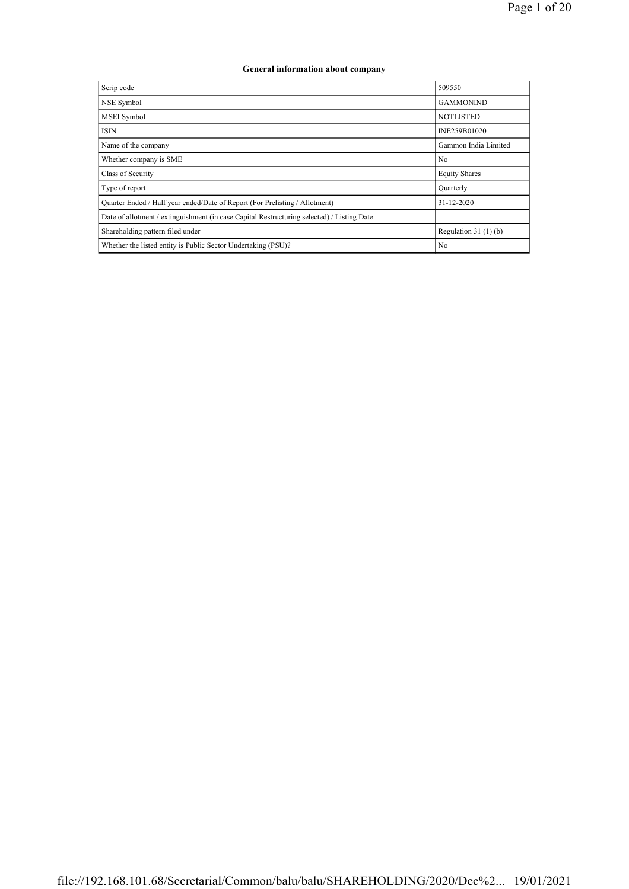| <b>General information about company</b>                                                   |                       |
|--------------------------------------------------------------------------------------------|-----------------------|
| Scrip code                                                                                 | 509550                |
| NSE Symbol                                                                                 | <b>GAMMONIND</b>      |
| <b>MSEI</b> Symbol                                                                         | <b>NOTLISTED</b>      |
| <b>ISIN</b>                                                                                | INE259B01020          |
| Name of the company                                                                        | Gammon India Limited  |
| Whether company is SME                                                                     | N <sub>0</sub>        |
| Class of Security                                                                          | <b>Equity Shares</b>  |
| Type of report                                                                             | Quarterly             |
| Quarter Ended / Half year ended/Date of Report (For Prelisting / Allotment)                | 31-12-2020            |
| Date of allotment / extinguishment (in case Capital Restructuring selected) / Listing Date |                       |
| Shareholding pattern filed under                                                           | Regulation $31(1)(b)$ |
| Whether the listed entity is Public Sector Undertaking (PSU)?                              | N <sub>0</sub>        |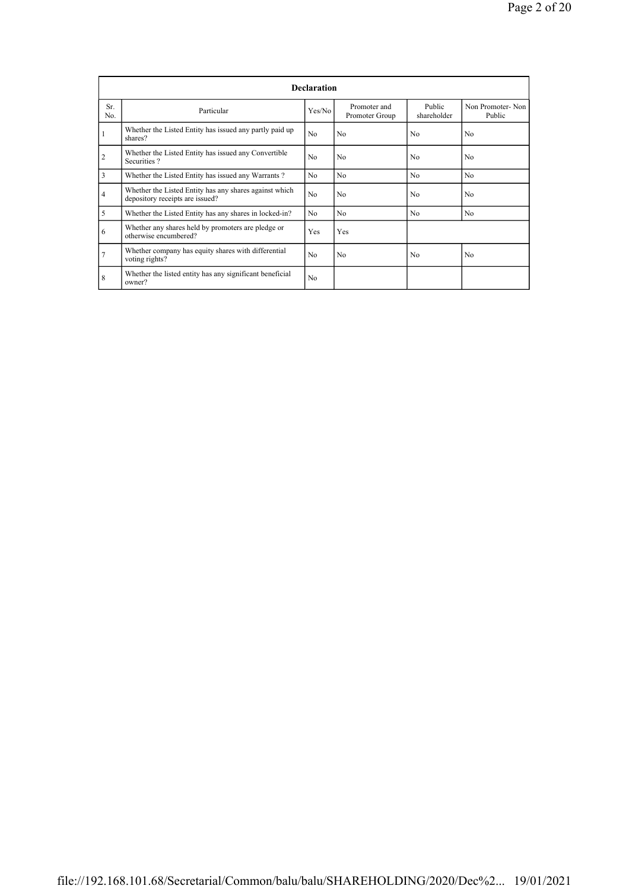|                |                                                                                           | <b>Declaration</b> |                                |                       |                            |
|----------------|-------------------------------------------------------------------------------------------|--------------------|--------------------------------|-----------------------|----------------------------|
| Sr.<br>No.     | Particular                                                                                | Yes/No             | Promoter and<br>Promoter Group | Public<br>shareholder | Non Promoter-Non<br>Public |
|                | Whether the Listed Entity has issued any partly paid up<br>shares?                        | No                 | N <sub>0</sub>                 | N <sub>0</sub>        | N <sub>0</sub>             |
| $\overline{2}$ | Whether the Listed Entity has issued any Convertible<br>Securities?                       | No                 | N <sub>0</sub>                 | N <sub>0</sub>        | N <sub>0</sub>             |
| 3              | Whether the Listed Entity has issued any Warrants?                                        | N <sub>0</sub>     | N <sub>0</sub>                 | N <sub>0</sub>        | N <sub>0</sub>             |
| $\overline{4}$ | Whether the Listed Entity has any shares against which<br>depository receipts are issued? | No                 | N <sub>0</sub>                 | N <sub>0</sub>        | N <sub>0</sub>             |
| 5              | Whether the Listed Entity has any shares in locked-in?                                    | No                 | N <sub>0</sub>                 | No                    | N <sub>0</sub>             |
| 6              | Whether any shares held by promoters are pledge or<br>otherwise encumbered?               | Yes                | Yes                            |                       |                            |
| 7              | Whether company has equity shares with differential<br>voting rights?                     | No                 | N <sub>0</sub>                 | No                    | N <sub>0</sub>             |
| 8              | Whether the listed entity has any significant beneficial<br>owner?                        | No                 |                                |                       |                            |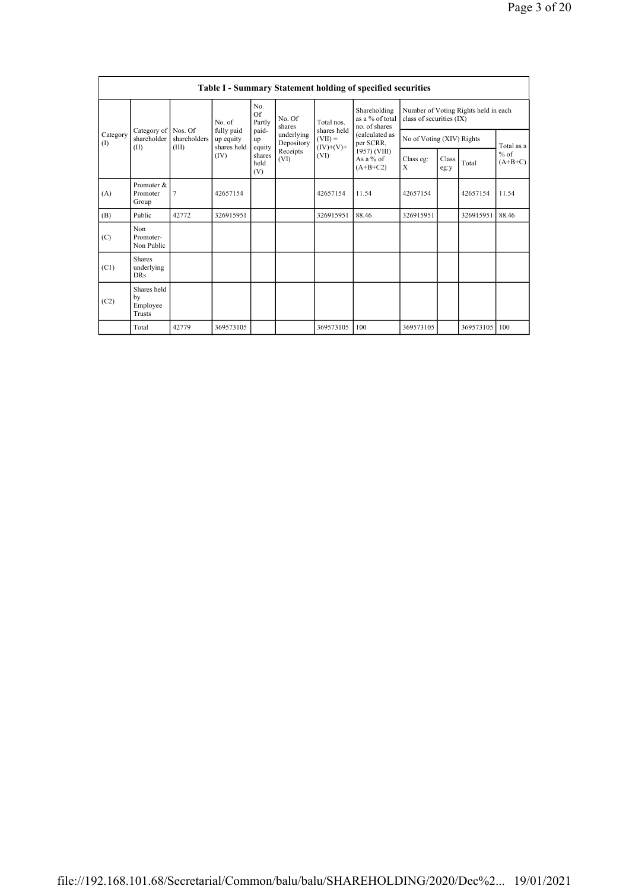|                 |                                           |                       |                                        |                                 |                  |                     | <b>Table I - Summary Statement holding of specified securities</b> |                          |               |                                      |                             |                           |  |  |            |
|-----------------|-------------------------------------------|-----------------------|----------------------------------------|---------------------------------|------------------|---------------------|--------------------------------------------------------------------|--------------------------|---------------|--------------------------------------|-----------------------------|---------------------------|--|--|------------|
|                 |                                           |                       | No. of                                 | No.<br>Of<br>Partly             | No. Of<br>shares | Total nos.          | Shareholding<br>as a % of total<br>no. of shares                   | class of securities (IX) |               | Number of Voting Rights held in each |                             |                           |  |  |            |
| Category<br>(1) | Category of Nos. Of<br>shareholder        | shareholders<br>(III) | fully paid<br>up equity<br>shares held | paid-<br>underlying<br>up       | Depository       |                     |                                                                    |                          |               | shares held<br>$(VII) =$             | (calculated as<br>per SCRR, | No of Voting (XIV) Rights |  |  | Total as a |
|                 | (II)                                      |                       | (IV)                                   | equity<br>shares<br>held<br>(V) | Receipts<br>(VI) | $(IV)+(V)+$<br>(VI) | 1957) (VIII)<br>As $a\%$ of<br>$(A+B+C2)$                          | Class eg:<br>X           | Class<br>eg:y | $%$ of<br>$(A+B+C)$<br>Total         |                             |                           |  |  |            |
| (A)             | Promoter &<br>Promoter<br>Group           | $\overline{7}$        | 42657154                               |                                 |                  | 42657154            | 11.54                                                              | 42657154                 |               | 42657154                             | 11.54                       |                           |  |  |            |
| (B)             | Public                                    | 42772                 | 326915951                              |                                 |                  | 326915951           | 88.46                                                              | 326915951                |               | 326915951                            | 88.46                       |                           |  |  |            |
| (C)             | Non<br>Promoter-<br>Non Public            |                       |                                        |                                 |                  |                     |                                                                    |                          |               |                                      |                             |                           |  |  |            |
| (C1)            | <b>Shares</b><br>underlying<br><b>DRs</b> |                       |                                        |                                 |                  |                     |                                                                    |                          |               |                                      |                             |                           |  |  |            |
| (C2)            | Shares held<br>by<br>Employee<br>Trusts   |                       |                                        |                                 |                  |                     |                                                                    |                          |               |                                      |                             |                           |  |  |            |
|                 | Total                                     | 42779                 | 369573105                              |                                 |                  | 369573105           | 100                                                                | 369573105                |               | 369573105                            | 100                         |                           |  |  |            |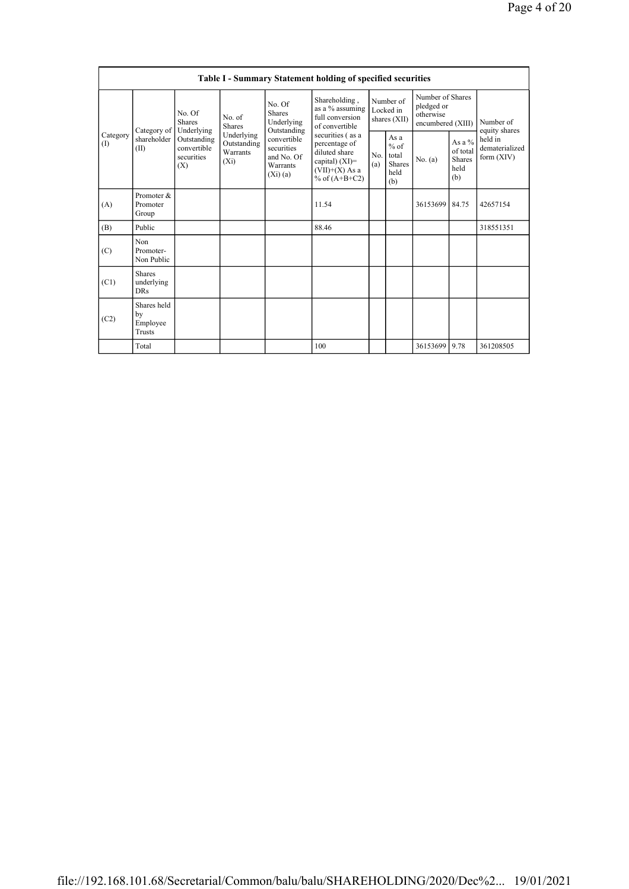|                 |                                           |                                                 |                                                  |                                                                | <b>Table I - Summary Statement holding of specified securities</b>                                            |                       |                                                         |                                                                  |                                             |                                                       |
|-----------------|-------------------------------------------|-------------------------------------------------|--------------------------------------------------|----------------------------------------------------------------|---------------------------------------------------------------------------------------------------------------|-----------------------|---------------------------------------------------------|------------------------------------------------------------------|---------------------------------------------|-------------------------------------------------------|
|                 | Category of                               | No. Of<br><b>Shares</b><br>Underlying           | No. of<br><b>Shares</b>                          | No. Of<br><b>Shares</b><br>Underlying<br>Outstanding           | Shareholding,<br>as a % assuming<br>full conversion<br>of convertible                                         |                       | Number of<br>Locked in<br>shares (XII)                  | Number of Shares<br>pledged or<br>otherwise<br>encumbered (XIII) |                                             | Number of<br>equity shares                            |
| Category<br>(I) | shareholder<br>(II)                       | Outstanding<br>convertible<br>securities<br>(X) | Underlying<br>Outstanding<br>Warrants<br>$(X_i)$ | convertible<br>securities<br>and No. Of<br>Warrants<br>(Xi)(a) | securities (as a<br>percentage of<br>diluted share<br>capital) $(XI)=$<br>$(VII)+(X)$ As a<br>% of $(A+B+C2)$ | N <sub>0</sub><br>(a) | As a<br>$%$ of<br>total<br><b>Shares</b><br>held<br>(b) | No. $(a)$                                                        | As a %<br>of total<br>Shares<br>held<br>(b) | held in<br>dematerialized<br>form $(XIV)$<br>42657154 |
| (A)             | Promoter &<br>Promoter<br>Group           |                                                 |                                                  |                                                                | 11.54                                                                                                         |                       |                                                         | 36153699                                                         | 84.75                                       |                                                       |
| (B)             | Public                                    |                                                 |                                                  |                                                                | 88.46                                                                                                         |                       |                                                         |                                                                  |                                             | 318551351                                             |
| (C)             | Non<br>Promoter-<br>Non Public            |                                                 |                                                  |                                                                |                                                                                                               |                       |                                                         |                                                                  |                                             |                                                       |
| (C1)            | <b>Shares</b><br>underlying<br><b>DRs</b> |                                                 |                                                  |                                                                |                                                                                                               |                       |                                                         |                                                                  |                                             |                                                       |
| (C2)            | Shares held<br>by<br>Employee<br>Trusts   |                                                 |                                                  |                                                                |                                                                                                               |                       |                                                         |                                                                  |                                             |                                                       |
|                 | Total                                     |                                                 |                                                  |                                                                | 100                                                                                                           |                       |                                                         | 36153699                                                         | 9.78                                        | 361208505                                             |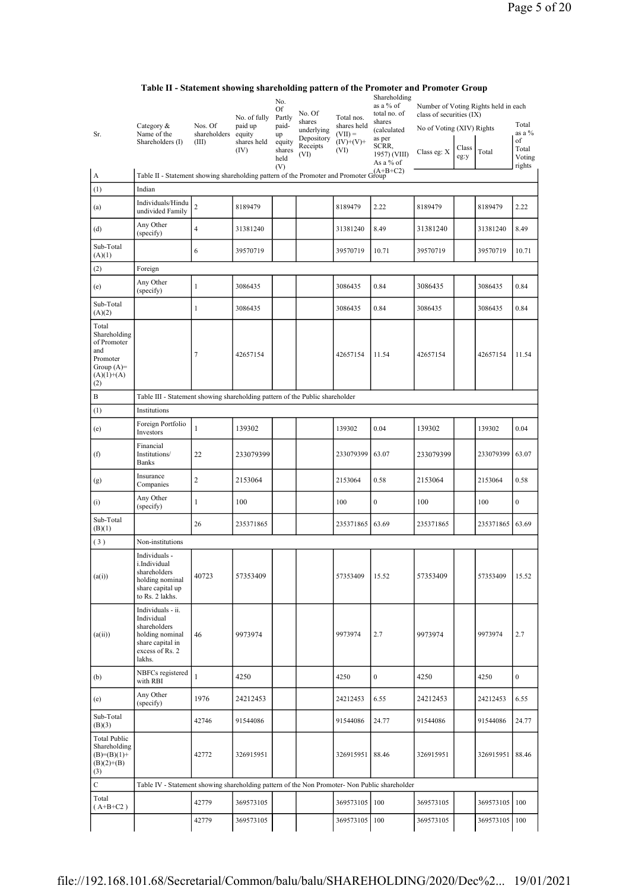| Sr.                                                                                            | Category &<br>Name of the<br>Shareholders (I)                                                                       | Nos. Of<br>shareholders<br>(III) | No. of fully<br>paid up<br>equity<br>shares held<br>(IV) | No.<br>Of<br>Partly<br>paid-<br>up<br>equity<br>shares | No. Of<br>shares<br>underlying<br>Depository<br>Receipts<br>(VI) | Total nos.<br>shares held<br>$(VII) =$<br>$(IV)+(V)+$<br>(VI) | Shareholding<br>as a % of<br>total no. of<br>shares<br>(calculated<br>as per<br>SCRR,<br>1957) (VIII) | Number of Voting Rights held in each<br>class of securities (IX)<br>No of Voting (XIV) Rights<br>Class eg: X | Class | Total         | Total<br>as a %<br>of<br>Total |
|------------------------------------------------------------------------------------------------|---------------------------------------------------------------------------------------------------------------------|----------------------------------|----------------------------------------------------------|--------------------------------------------------------|------------------------------------------------------------------|---------------------------------------------------------------|-------------------------------------------------------------------------------------------------------|--------------------------------------------------------------------------------------------------------------|-------|---------------|--------------------------------|
|                                                                                                |                                                                                                                     |                                  |                                                          | held<br>(V)                                            |                                                                  |                                                               | As a % of                                                                                             |                                                                                                              | eg:y  |               | Voting<br>rights               |
| A                                                                                              | Table II - Statement showing shareholding pattern of the Promoter and Promoter Group                                |                                  |                                                          |                                                        |                                                                  |                                                               |                                                                                                       |                                                                                                              |       |               |                                |
| (1)                                                                                            | Indian                                                                                                              |                                  |                                                          |                                                        |                                                                  |                                                               |                                                                                                       |                                                                                                              |       |               |                                |
| (a)                                                                                            | Individuals/Hindu<br>undivided Family                                                                               | $\overline{c}$                   | 8189479                                                  |                                                        |                                                                  | 8189479                                                       | 2.22                                                                                                  | 8189479                                                                                                      |       | 8189479       | 2.22                           |
| (d)                                                                                            | Any Other<br>(specify)                                                                                              | $\overline{4}$                   | 31381240                                                 |                                                        |                                                                  | 31381240                                                      | 8.49                                                                                                  | 31381240                                                                                                     |       | 31381240      | 8.49                           |
| Sub-Total<br>(A)(1)                                                                            |                                                                                                                     | 6                                | 39570719                                                 |                                                        |                                                                  | 39570719                                                      | 10.71                                                                                                 | 39570719                                                                                                     |       | 39570719      | 10.71                          |
| (2)                                                                                            | Foreign                                                                                                             |                                  |                                                          |                                                        |                                                                  |                                                               |                                                                                                       |                                                                                                              |       |               |                                |
| (e)                                                                                            | Any Other<br>(specify)                                                                                              | $\mathbf{1}$                     | 3086435                                                  |                                                        |                                                                  | 3086435                                                       | 0.84                                                                                                  | 3086435                                                                                                      |       | 3086435       | 0.84                           |
| Sub-Total<br>(A)(2)                                                                            |                                                                                                                     | 1                                | 3086435                                                  |                                                        |                                                                  | 3086435                                                       | 0.84                                                                                                  | 3086435                                                                                                      |       | 3086435       | 0.84                           |
| Total<br>Shareholding<br>of Promoter<br>and<br>Promoter<br>Group $(A)=$<br>$(A)(1)+(A)$<br>(2) |                                                                                                                     | 7                                | 42657154                                                 |                                                        |                                                                  | 42657154                                                      | 11.54                                                                                                 | 42657154                                                                                                     |       | 42657154      | 11.54                          |
| B                                                                                              | Table III - Statement showing shareholding pattern of the Public shareholder                                        |                                  |                                                          |                                                        |                                                                  |                                                               |                                                                                                       |                                                                                                              |       |               |                                |
| (1)                                                                                            | Institutions                                                                                                        |                                  |                                                          |                                                        |                                                                  |                                                               |                                                                                                       |                                                                                                              |       |               |                                |
| (e)                                                                                            | Foreign Portfolio<br>Investors                                                                                      | $\mathbf{1}$                     | 139302                                                   |                                                        |                                                                  | 139302                                                        | 0.04                                                                                                  | 139302                                                                                                       |       | 139302        | 0.04                           |
| (f)                                                                                            | Financial<br>Institutions/<br><b>Banks</b>                                                                          | 22                               | 233079399                                                |                                                        |                                                                  | 233079399                                                     | 63.07                                                                                                 | 233079399                                                                                                    |       | 233079399     | 63.07                          |
| (g)                                                                                            | Insurance<br>Companies                                                                                              | $\overline{c}$                   | 2153064                                                  |                                                        |                                                                  | 2153064                                                       | 0.58                                                                                                  | 2153064                                                                                                      |       | 2153064       | 0.58                           |
| (i)                                                                                            | Any Other<br>(specify)                                                                                              | $\mathbf{1}$                     | 100                                                      |                                                        |                                                                  | 100                                                           | $\boldsymbol{0}$                                                                                      | 100                                                                                                          |       | 100           | $\boldsymbol{0}$               |
| Sub-Total<br>(B)(1)                                                                            |                                                                                                                     | 26                               | 235371865                                                |                                                        |                                                                  | 235371865                                                     | 63.69                                                                                                 | 235371865                                                                                                    |       | 235371865     | 63.69                          |
| (3)                                                                                            | Non-institutions                                                                                                    |                                  |                                                          |                                                        |                                                                  |                                                               |                                                                                                       |                                                                                                              |       |               |                                |
| (a(i))                                                                                         | Individuals -<br>i.Individual<br>shareholders<br>holding nominal<br>share capital up<br>to Rs. 2 lakhs.             | 40723                            | 57353409                                                 |                                                        |                                                                  | 57353409                                                      | 15.52                                                                                                 | 57353409                                                                                                     |       | 57353409      | 15.52                          |
| (a(ii))                                                                                        | Individuals - ii.<br>Individual<br>shareholders<br>holding nominal<br>share capital in<br>excess of Rs. 2<br>lakhs. | 46                               | 9973974                                                  |                                                        |                                                                  | 9973974                                                       | 2.7                                                                                                   | 9973974                                                                                                      |       | 9973974       | 2.7                            |
| (b)                                                                                            | NBFCs registered<br>with RBI                                                                                        | $\mathbf{1}$                     | 4250                                                     |                                                        |                                                                  | 4250                                                          | $\boldsymbol{0}$                                                                                      | 4250                                                                                                         |       | 4250          | $\mathbf{0}$                   |
| (e)                                                                                            | Any Other<br>(specify)                                                                                              | 1976                             | 24212453                                                 |                                                        |                                                                  | 24212453                                                      | 6.55                                                                                                  | 24212453                                                                                                     |       | 24212453      | 6.55                           |
| Sub-Total<br>(B)(3)                                                                            |                                                                                                                     | 42746                            | 91544086                                                 |                                                        |                                                                  | 91544086                                                      | 24.77                                                                                                 | 91544086                                                                                                     |       | 91544086      | 24.77                          |
| <b>Total Public</b><br>Shareholding<br>$(B)= (B)(1) +$<br>$(B)(2)+(B)$<br>(3)                  |                                                                                                                     | 42772                            | 326915951                                                |                                                        |                                                                  | 326915951                                                     | 88.46                                                                                                 | 326915951                                                                                                    |       | 326915951     | 88.46                          |
| $\mathbf C$                                                                                    | Table IV - Statement showing shareholding pattern of the Non Promoter- Non Public shareholder                       |                                  |                                                          |                                                        |                                                                  |                                                               |                                                                                                       |                                                                                                              |       |               |                                |
| Total<br>$(A+B+C2)$                                                                            |                                                                                                                     | 42779                            | 369573105                                                |                                                        |                                                                  | 369573105 100                                                 |                                                                                                       | 369573105                                                                                                    |       | 369573105 100 |                                |
|                                                                                                |                                                                                                                     | 42779                            | 369573105                                                |                                                        |                                                                  | 369573105 100                                                 |                                                                                                       | 369573105                                                                                                    |       | 369573105 100 |                                |

## Table II - Statement showing shareholding pattern of the Promoter and Promoter Group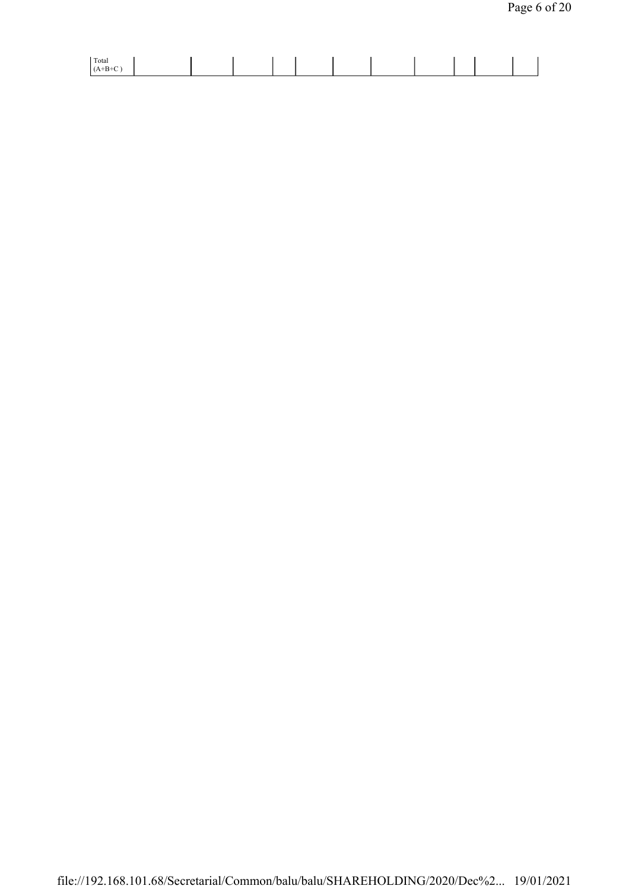| Total |  |  |  |  |  |  |
|-------|--|--|--|--|--|--|
|       |  |  |  |  |  |  |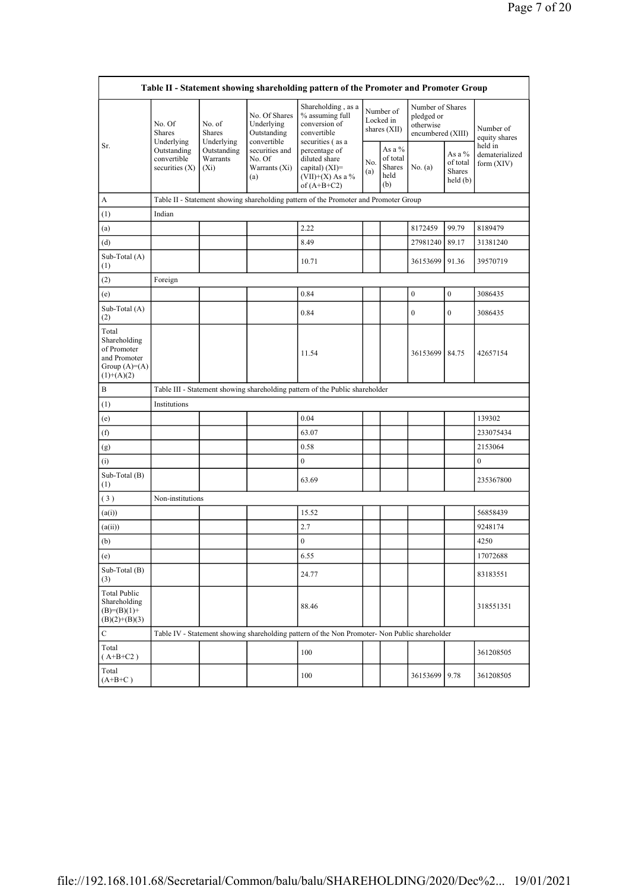|                                                                                        |                                                |                                       |                                                           | Table II - Statement showing shareholding pattern of the Promoter and Promoter Group                     |  |                                             |                                                                  |                                                  |                                         |
|----------------------------------------------------------------------------------------|------------------------------------------------|---------------------------------------|-----------------------------------------------------------|----------------------------------------------------------------------------------------------------------|--|---------------------------------------------|------------------------------------------------------------------|--------------------------------------------------|-----------------------------------------|
|                                                                                        | No. Of<br>Shares<br>Underlying                 | No. of<br><b>Shares</b><br>Underlying | No. Of Shares<br>Underlying<br>Outstanding<br>convertible | Shareholding, as a<br>% assuming full<br>conversion of<br>convertible<br>securities (as a                |  | Number of<br>Locked in<br>shares (XII)      | Number of Shares<br>pledged or<br>otherwise<br>encumbered (XIII) |                                                  | Number of<br>equity shares              |
| Sr.                                                                                    | Outstanding<br>convertible<br>securities $(X)$ | Outstanding<br>Warrants<br>$(X_i)$    | securities and<br>No. Of<br>Warrants (Xi)<br>(a)          | percentage of<br>diluted share<br>No.<br>capital) $(XI)$ =<br>(a)<br>$(VII)+(X)$ As a %<br>of $(A+B+C2)$ |  | As a %<br>of total<br>Shares<br>held<br>(b) | No. (a)                                                          | As a $%$<br>of total<br><b>Shares</b><br>held(b) | held in<br>dematerialized<br>form (XIV) |
| A                                                                                      |                                                |                                       |                                                           | Table II - Statement showing shareholding pattern of the Promoter and Promoter Group                     |  |                                             |                                                                  |                                                  |                                         |
| (1)                                                                                    | Indian                                         |                                       |                                                           |                                                                                                          |  |                                             |                                                                  |                                                  |                                         |
| (a)                                                                                    |                                                |                                       |                                                           | 2.22                                                                                                     |  |                                             | 8172459                                                          | 99.79                                            | 8189479                                 |
| (d)                                                                                    |                                                |                                       |                                                           | 8.49                                                                                                     |  |                                             | 27981240                                                         | 89.17                                            | 31381240                                |
| Sub-Total (A)<br>(1)                                                                   |                                                |                                       |                                                           | 10.71                                                                                                    |  |                                             | 36153699                                                         | 91.36                                            | 39570719                                |
| (2)                                                                                    | Foreign                                        |                                       |                                                           |                                                                                                          |  |                                             |                                                                  |                                                  |                                         |
| (e)                                                                                    |                                                |                                       |                                                           | 0.84                                                                                                     |  |                                             | $\boldsymbol{0}$                                                 | $\boldsymbol{0}$                                 | 3086435                                 |
| Sub-Total $(A)$<br>(2)                                                                 |                                                |                                       |                                                           | 0.84                                                                                                     |  |                                             | $\mathbf{0}$                                                     | $\mathbf{0}$                                     | 3086435                                 |
| Total<br>Shareholding<br>of Promoter<br>and Promoter<br>Group $(A)=A)$<br>$(1)+(A)(2)$ |                                                |                                       |                                                           | 11.54                                                                                                    |  |                                             | 36153699 84.75                                                   |                                                  | 42657154                                |
| B                                                                                      |                                                |                                       |                                                           | Table III - Statement showing shareholding pattern of the Public shareholder                             |  |                                             |                                                                  |                                                  |                                         |
| (1)                                                                                    | Institutions                                   |                                       |                                                           |                                                                                                          |  |                                             |                                                                  |                                                  |                                         |
| (e)                                                                                    |                                                |                                       |                                                           | 0.04                                                                                                     |  |                                             |                                                                  |                                                  | 139302                                  |
| (f)                                                                                    |                                                |                                       |                                                           | 63.07                                                                                                    |  |                                             |                                                                  |                                                  | 233075434                               |
| (g)                                                                                    |                                                |                                       |                                                           | 0.58                                                                                                     |  |                                             |                                                                  |                                                  | 2153064                                 |
| (i)                                                                                    |                                                |                                       |                                                           | $\mathbf{0}$                                                                                             |  |                                             |                                                                  |                                                  | $\mathbf{0}$                            |
| Sub-Total (B)<br>(1)                                                                   |                                                |                                       |                                                           | 63.69                                                                                                    |  |                                             |                                                                  |                                                  | 235367800                               |
| (3)                                                                                    | Non-institutions                               |                                       |                                                           |                                                                                                          |  |                                             |                                                                  |                                                  |                                         |
| (a(i))                                                                                 |                                                |                                       |                                                           | 15.52                                                                                                    |  |                                             |                                                                  |                                                  | 56858439                                |
| (a(ii))                                                                                |                                                |                                       |                                                           | 2.7                                                                                                      |  |                                             |                                                                  |                                                  | 9248174                                 |
| (b)                                                                                    |                                                |                                       |                                                           | $\boldsymbol{0}$                                                                                         |  |                                             |                                                                  |                                                  | 4250                                    |
| (e)                                                                                    |                                                |                                       |                                                           | 6.55                                                                                                     |  |                                             |                                                                  |                                                  | 17072688                                |
| Sub-Total (B)<br>(3)                                                                   |                                                |                                       |                                                           | 24.77                                                                                                    |  |                                             |                                                                  |                                                  | 83183551                                |
| <b>Total Public</b><br>Shareholding<br>$(B)= (B)(1) +$<br>$(B)(2)+(B)(3)$              |                                                |                                       |                                                           | 88.46                                                                                                    |  |                                             |                                                                  |                                                  | 318551351                               |
| С                                                                                      |                                                |                                       |                                                           | Table IV - Statement showing shareholding pattern of the Non Promoter- Non Public shareholder            |  |                                             |                                                                  |                                                  |                                         |
| Total<br>$(A+B+C2)$                                                                    |                                                |                                       |                                                           | 100                                                                                                      |  |                                             |                                                                  |                                                  | 361208505                               |
| Total<br>$(A+B+C)$                                                                     |                                                |                                       |                                                           | 100                                                                                                      |  |                                             | 36153699                                                         | 9.78                                             | 361208505                               |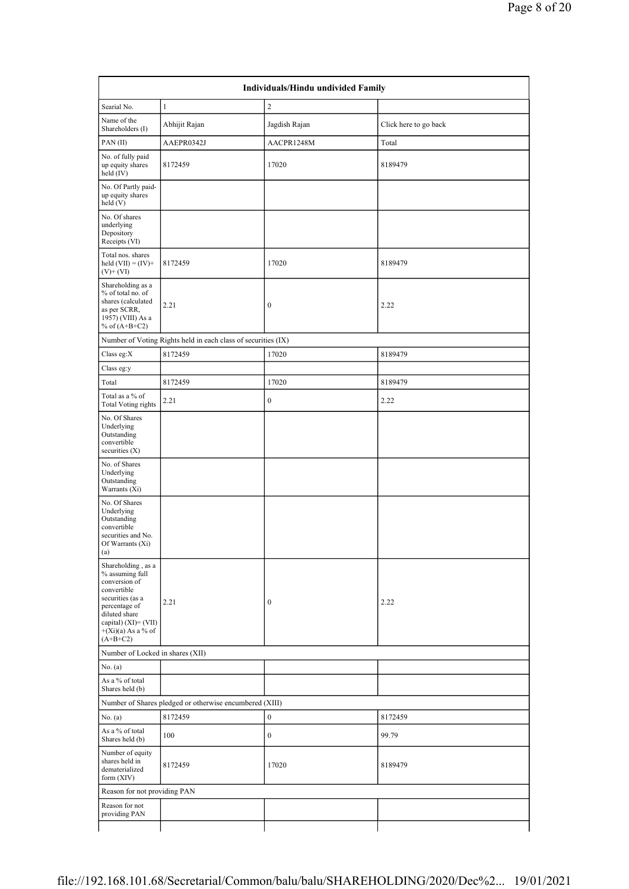|                                                                                                                                                                                           |                                                               | Individuals/Hindu undivided Family |                       |  |
|-------------------------------------------------------------------------------------------------------------------------------------------------------------------------------------------|---------------------------------------------------------------|------------------------------------|-----------------------|--|
| Searial No.                                                                                                                                                                               | $1\,$                                                         | $\overline{c}$                     |                       |  |
| Name of the<br>Shareholders (I)                                                                                                                                                           | Abhijit Rajan                                                 | Jagdish Rajan                      | Click here to go back |  |
| PAN(II)                                                                                                                                                                                   | AAEPR0342J                                                    | AACPR1248M                         | Total                 |  |
| No. of fully paid<br>up equity shares<br>held (IV)                                                                                                                                        | 8172459                                                       | 17020                              | 8189479               |  |
| No. Of Partly paid-<br>up equity shares<br>held (V)                                                                                                                                       |                                                               |                                    |                       |  |
| No. Of shares<br>underlying<br>Depository<br>Receipts (VI)                                                                                                                                |                                                               |                                    |                       |  |
| Total nos. shares<br>held $(VII) = (IV) +$<br>$(V)$ + $(VI)$                                                                                                                              | 8172459                                                       | 17020                              | 8189479               |  |
| Shareholding as a<br>% of total no. of<br>shares (calculated<br>as per SCRR,<br>1957) (VIII) As a<br>% of $(A+B+C2)$                                                                      | 2.21                                                          | $\boldsymbol{0}$                   | 2.22                  |  |
|                                                                                                                                                                                           | Number of Voting Rights held in each class of securities (IX) |                                    |                       |  |
| Class eg:X                                                                                                                                                                                | 8172459                                                       | 17020                              | 8189479               |  |
| Class eg:y                                                                                                                                                                                |                                                               |                                    |                       |  |
| Total                                                                                                                                                                                     | 8172459                                                       | 17020                              | 8189479               |  |
| Total as a % of<br><b>Total Voting rights</b>                                                                                                                                             | 2.21                                                          | $\boldsymbol{0}$                   | 2.22                  |  |
| No. Of Shares<br>Underlying<br>Outstanding<br>convertible<br>securities $(X)$                                                                                                             |                                                               |                                    |                       |  |
| No. of Shares<br>Underlying<br>Outstanding<br>Warrants (Xi)                                                                                                                               |                                                               |                                    |                       |  |
| No. Of Shares<br>Underlying<br>Outstanding<br>convertible<br>securities and No.<br>Of Warrants (Xi)<br>(a)                                                                                |                                                               |                                    |                       |  |
| Shareholding, as a<br>% assuming full<br>conversion of<br>convertible<br>securities (as a<br>percentage of<br>diluted share<br>capital) (XI)= (VII)<br>$+(Xi)(a)$ As a % of<br>$(A+B+C2)$ | 2.21                                                          | $\mathbf{0}$                       | 2.22                  |  |
| Number of Locked in shares (XII)                                                                                                                                                          |                                                               |                                    |                       |  |
| No. (a)                                                                                                                                                                                   |                                                               |                                    |                       |  |
| As a % of total<br>Shares held (b)                                                                                                                                                        |                                                               |                                    |                       |  |
|                                                                                                                                                                                           | Number of Shares pledged or otherwise encumbered (XIII)       |                                    |                       |  |
| No. (a)                                                                                                                                                                                   | 8172459                                                       | $\boldsymbol{0}$                   | 8172459               |  |
| As a % of total<br>Shares held (b)                                                                                                                                                        | 100                                                           | $\mathbf{0}$                       | 99.79                 |  |
| Number of equity<br>shares held in<br>dematerialized<br>form (XIV)                                                                                                                        | 8172459                                                       | 17020                              | 8189479               |  |
| Reason for not providing PAN                                                                                                                                                              |                                                               |                                    |                       |  |
| Reason for not<br>providing PAN                                                                                                                                                           |                                                               |                                    |                       |  |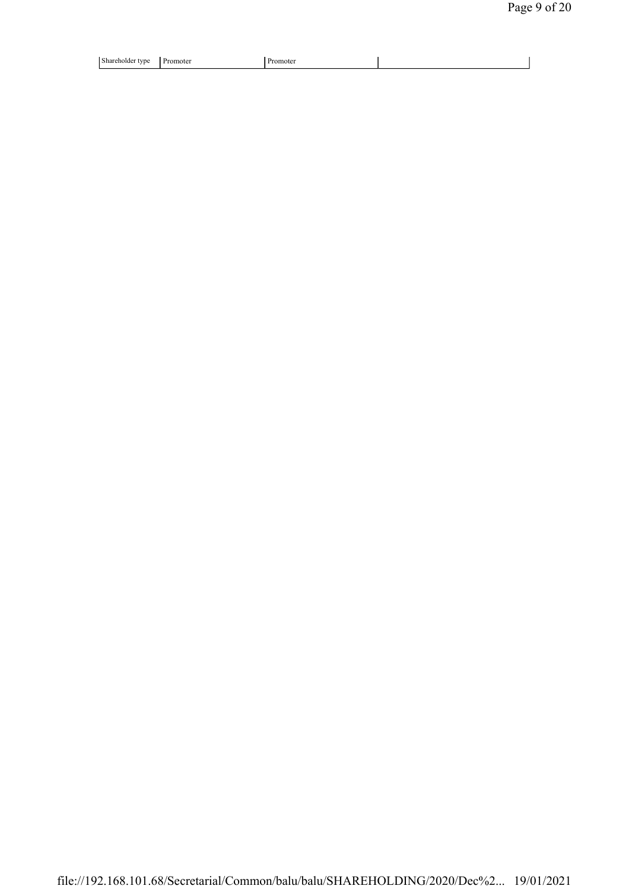| l cui<br>Shar<br>.note*<br>tvpe<br>enoide<br>$-$<br>__<br>$\sim$ 1 | omoter<br>,,,,,,,, |  |
|--------------------------------------------------------------------|--------------------|--|
|--------------------------------------------------------------------|--------------------|--|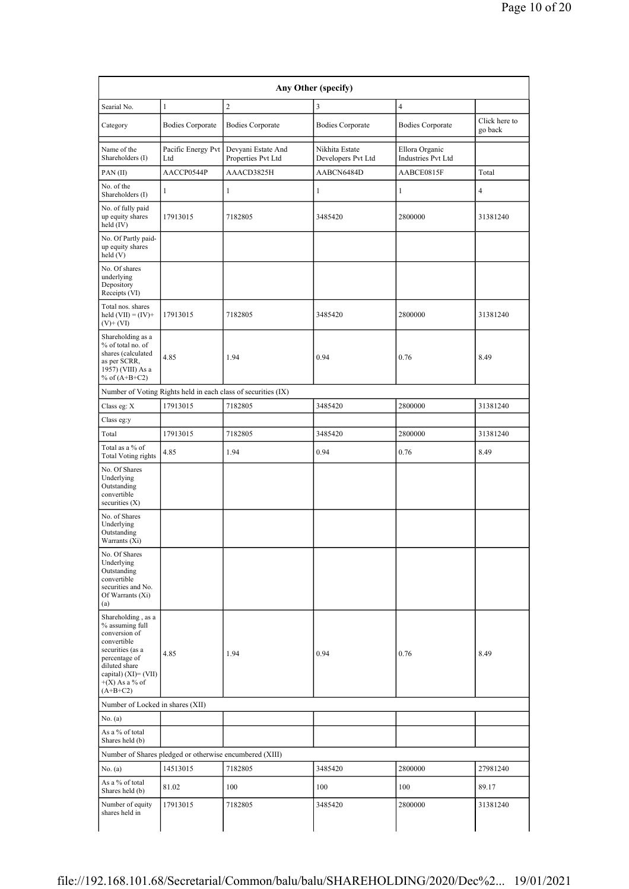| Searial No.                                                                                                                                                                              | $\mathbf{1}$                                            | $\overline{c}$                                                | $\overline{\mathbf{3}}$              | $\overline{4}$                              | Click here to  |
|------------------------------------------------------------------------------------------------------------------------------------------------------------------------------------------|---------------------------------------------------------|---------------------------------------------------------------|--------------------------------------|---------------------------------------------|----------------|
| Category                                                                                                                                                                                 | <b>Bodies Corporate</b>                                 | <b>Bodies Corporate</b>                                       | <b>Bodies Corporate</b>              | <b>Bodies Corporate</b>                     | go back        |
| Name of the<br>Shareholders (I)                                                                                                                                                          | Pacific Energy Pvt<br>Ltd                               | Devyani Estate And<br>Properties Pvt Ltd                      | Nikhita Estate<br>Developers Pvt Ltd | Ellora Organic<br><b>Industries Pvt Ltd</b> |                |
| PAN(II)                                                                                                                                                                                  | AACCP0544P                                              | AAACD3825H                                                    | AABCN6484D                           | AABCE0815F                                  | Total          |
| No. of the<br>Shareholders (I)                                                                                                                                                           | $\mathbf{1}$                                            | 1                                                             | 1                                    | $\mathbf{1}$                                | $\overline{4}$ |
| No. of fully paid<br>up equity shares<br>held (IV)                                                                                                                                       | 17913015                                                | 7182805                                                       | 3485420                              | 2800000                                     | 31381240       |
| No. Of Partly paid-<br>up equity shares<br>held(V)                                                                                                                                       |                                                         |                                                               |                                      |                                             |                |
| No. Of shares<br>underlying<br>Depository<br>Receipts (VI)                                                                                                                               |                                                         |                                                               |                                      |                                             |                |
| Total nos. shares<br>held $(VII) = (IV) +$<br>$(V)$ + $(VI)$                                                                                                                             | 17913015                                                | 7182805                                                       | 3485420                              | 2800000                                     | 31381240       |
| Shareholding as a<br>% of total no. of<br>shares (calculated<br>as per SCRR,<br>1957) (VIII) As a<br>% of $(A+B+C2)$                                                                     | 4.85                                                    | 1.94                                                          | 0.94                                 | 0.76                                        | 8.49           |
|                                                                                                                                                                                          |                                                         | Number of Voting Rights held in each class of securities (IX) |                                      |                                             |                |
| Class eg: X                                                                                                                                                                              | 17913015                                                | 7182805                                                       | 3485420                              | 2800000                                     | 31381240       |
| Class eg:y                                                                                                                                                                               |                                                         |                                                               |                                      |                                             |                |
| Total                                                                                                                                                                                    | 17913015                                                | 7182805                                                       | 3485420                              | 2800000                                     | 31381240       |
| Total as a % of<br><b>Total Voting rights</b>                                                                                                                                            | 4.85                                                    | 1.94                                                          | 0.94                                 | 0.76                                        | 8.49           |
| No. Of Shares<br>Underlying<br>Outstanding<br>convertible<br>securities $(X)$                                                                                                            |                                                         |                                                               |                                      |                                             |                |
| No. of Shares<br>Underlying<br>Outstanding<br>Warrants (Xi)                                                                                                                              |                                                         |                                                               |                                      |                                             |                |
| No. Of Shares<br>Underlying<br>Outstanding<br>convertible<br>securities and No.<br>Of Warrants (Xi)<br>(a)                                                                               |                                                         |                                                               |                                      |                                             |                |
| Shareholding, as a<br>% assuming full<br>conversion of<br>convertible<br>securities (as a<br>percentage of<br>diluted share<br>capital) $(XI) = (VII)$<br>$+(X)$ As a % of<br>$(A+B+C2)$ | 4.85                                                    | 1.94                                                          | 0.94                                 | 0.76                                        | 8.49           |
| Number of Locked in shares (XII)                                                                                                                                                         |                                                         |                                                               |                                      |                                             |                |
| No. (a)                                                                                                                                                                                  |                                                         |                                                               |                                      |                                             |                |
| As a % of total<br>Shares held (b)                                                                                                                                                       |                                                         |                                                               |                                      |                                             |                |
|                                                                                                                                                                                          | Number of Shares pledged or otherwise encumbered (XIII) |                                                               |                                      |                                             |                |
| No. (a)                                                                                                                                                                                  | 14513015                                                | 7182805                                                       | 3485420                              | 2800000                                     | 27981240       |
| As a % of total<br>Shares held (b)                                                                                                                                                       | 81.02                                                   | 100                                                           | 100                                  | 100                                         | 89.17          |
| Number of equity<br>shares held in                                                                                                                                                       | 17913015                                                | 7182805                                                       | 3485420                              | 2800000                                     | 31381240       |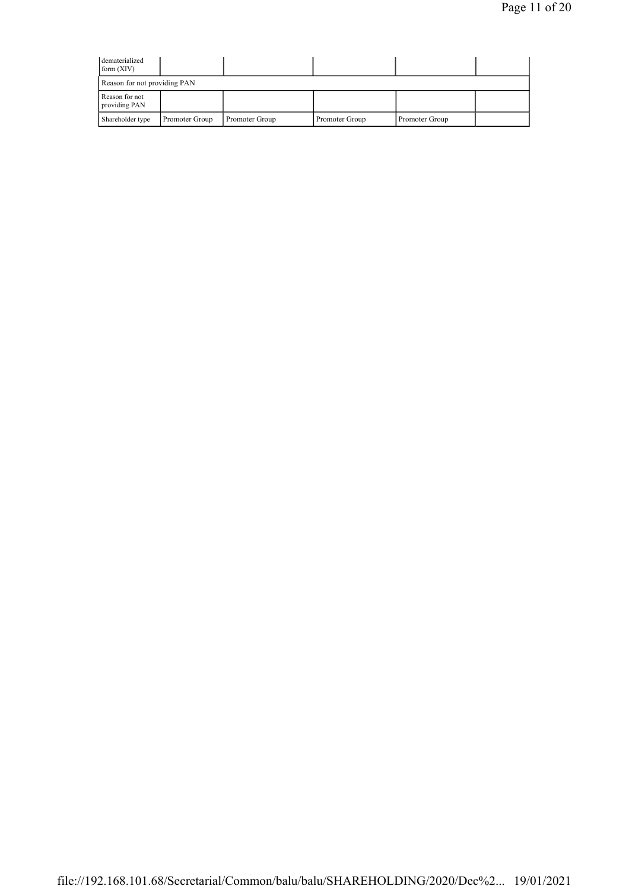| dematerialized<br>form $(XIV)$  |                |                |                |                |  |
|---------------------------------|----------------|----------------|----------------|----------------|--|
| Reason for not providing PAN    |                |                |                |                |  |
| Reason for not<br>providing PAN |                |                |                |                |  |
| Shareholder type                | Promoter Group | Promoter Group | Promoter Group | Promoter Group |  |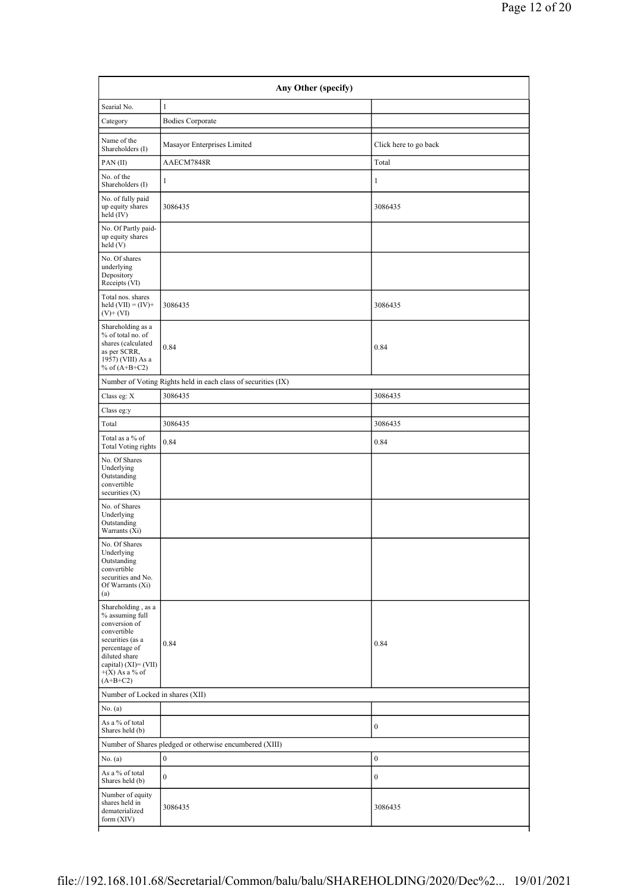| Searial No.                                                                                                                                                                           | $\mathbf{1}$                                                  |                       |  |
|---------------------------------------------------------------------------------------------------------------------------------------------------------------------------------------|---------------------------------------------------------------|-----------------------|--|
| Category                                                                                                                                                                              | <b>Bodies Corporate</b>                                       |                       |  |
| Name of the<br>Shareholders (I)                                                                                                                                                       | Masayor Enterprises Limited                                   | Click here to go back |  |
| PAN(II)                                                                                                                                                                               | AAECM7848R                                                    | Total                 |  |
| No. of the<br>Shareholders (I)                                                                                                                                                        | $\mathbf{1}$                                                  | $\mathbf{1}$          |  |
| No. of fully paid<br>up equity shares<br>held (IV)                                                                                                                                    | 3086435                                                       | 3086435               |  |
| No. Of Partly paid-<br>up equity shares<br>held(V)                                                                                                                                    |                                                               |                       |  |
| No. Of shares<br>underlying<br>Depository<br>Receipts (VI)                                                                                                                            |                                                               |                       |  |
| Total nos. shares<br>held $(VII) = (IV) +$<br>$(V)$ + $(VI)$                                                                                                                          | 3086435                                                       | 3086435               |  |
| Shareholding as a<br>% of total no. of<br>shares (calculated<br>as per SCRR,<br>1957) (VIII) As a<br>% of $(A+B+C2)$                                                                  | 0.84                                                          | 0.84                  |  |
|                                                                                                                                                                                       | Number of Voting Rights held in each class of securities (IX) |                       |  |
| Class eg: X                                                                                                                                                                           | 3086435                                                       | 3086435               |  |
| Class eg:y                                                                                                                                                                            |                                                               |                       |  |
| Total                                                                                                                                                                                 | 3086435                                                       | 3086435               |  |
| Total as a % of<br><b>Total Voting rights</b>                                                                                                                                         | 0.84                                                          | 0.84                  |  |
| No. Of Shares<br>Underlying<br>Outstanding<br>convertible<br>securities $(X)$                                                                                                         |                                                               |                       |  |
| No. of Shares<br>Underlying<br>Outstanding<br>Warrants (Xi)                                                                                                                           |                                                               |                       |  |
| No. Of Shares<br>Underlying<br>Outstanding<br>convertible<br>securities and No.<br>Of Warrants (Xi)<br>(a)                                                                            |                                                               |                       |  |
| Shareholding, as a<br>% assuming full<br>conversion of<br>convertible<br>securities (as a<br>percentage of<br>diluted share<br>capital) (XI)= (VII)<br>$+(X)$ As a % of<br>$(A+B+C2)$ | 0.84                                                          | 0.84                  |  |
| Number of Locked in shares (XII)                                                                                                                                                      |                                                               |                       |  |
| No. (a)                                                                                                                                                                               |                                                               |                       |  |
| As a % of total<br>Shares held (b)                                                                                                                                                    |                                                               | $\mathbf{0}$          |  |
|                                                                                                                                                                                       | Number of Shares pledged or otherwise encumbered (XIII)       |                       |  |
| No. $(a)$                                                                                                                                                                             | $\vert$ 0                                                     | $\boldsymbol{0}$      |  |
| As a % of total<br>Shares held (b)                                                                                                                                                    | $\mathbf{0}$                                                  | $\mathbf{0}$          |  |
| Number of equity<br>shares held in<br>dematerialized<br>form (XIV)                                                                                                                    | 3086435                                                       | 3086435               |  |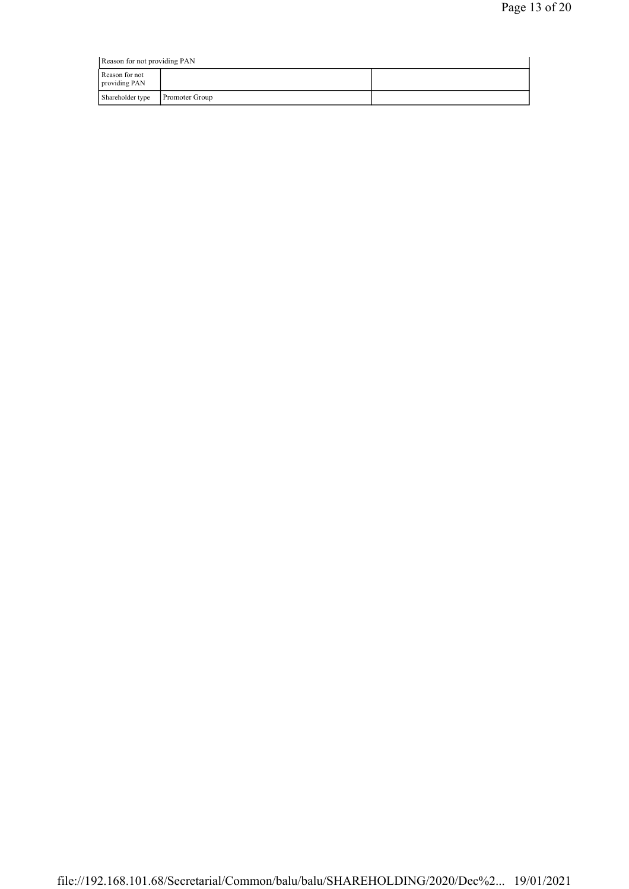| Reason for not providing PAN    |                       |  |  |  |  |  |
|---------------------------------|-----------------------|--|--|--|--|--|
| Reason for not<br>providing PAN |                       |  |  |  |  |  |
| Shareholder type                | <b>Promoter Group</b> |  |  |  |  |  |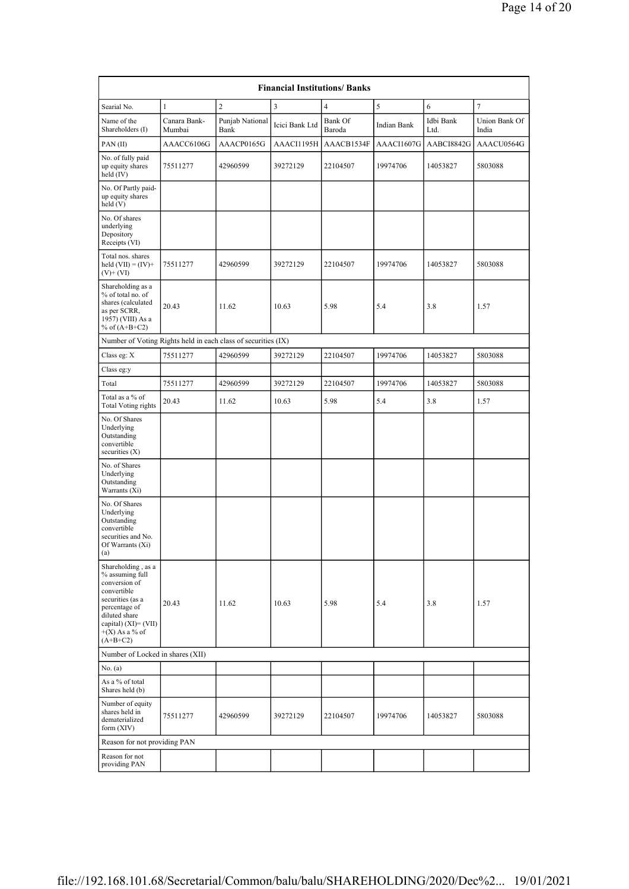| <b>Financial Institutions/ Banks</b>                                                                                                                                                     |                                  |                         |                |                   |             |                   |                        |  |
|------------------------------------------------------------------------------------------------------------------------------------------------------------------------------------------|----------------------------------|-------------------------|----------------|-------------------|-------------|-------------------|------------------------|--|
| Searial No.                                                                                                                                                                              | 1                                | $\overline{c}$          | $\overline{3}$ | $\overline{4}$    | 5           | 6                 | $\overline{7}$         |  |
| Name of the<br>Shareholders (I)                                                                                                                                                          | Canara Bank-<br>Mumbai           | Punjab National<br>Bank | Icici Bank Ltd | Bank Of<br>Baroda | Indian Bank | Idbi Bank<br>Ltd. | Union Bank Of<br>India |  |
| PAN(II)                                                                                                                                                                                  | AAACC6106G                       | AAACP0165G              | AAACI1195H     | AAACB1534F        | AAACI1607G  | AABCI8842G        | AAACU0564G             |  |
| No. of fully paid<br>up equity shares<br>held $(IV)$                                                                                                                                     | 75511277                         | 42960599                | 39272129       | 22104507          | 19974706    | 14053827          | 5803088                |  |
| No. Of Partly paid-<br>up equity shares<br>held (V)                                                                                                                                      |                                  |                         |                |                   |             |                   |                        |  |
| No. Of shares<br>underlying<br>Depository<br>Receipts (VI)                                                                                                                               |                                  |                         |                |                   |             |                   |                        |  |
| Total nos. shares<br>held $(VII) = (IV) +$<br>$(V)$ + $(VI)$                                                                                                                             | 75511277                         | 42960599                | 39272129       | 22104507          | 19974706    | 14053827          | 5803088                |  |
| Shareholding as a<br>% of total no. of<br>shares (calculated<br>as per SCRR,<br>1957) (VIII) As a<br>% of $(A+B+C2)$                                                                     | 20.43                            | 11.62                   | 10.63          | 5.98              | 5.4         | 3.8               | 1.57                   |  |
| Number of Voting Rights held in each class of securities (IX)                                                                                                                            |                                  |                         |                |                   |             |                   |                        |  |
| Class eg: X                                                                                                                                                                              | 75511277                         | 42960599                | 39272129       | 22104507          | 19974706    | 14053827          | 5803088                |  |
| Class eg:y                                                                                                                                                                               |                                  |                         |                |                   |             |                   |                        |  |
| Total                                                                                                                                                                                    | 75511277                         | 42960599                | 39272129       | 22104507          | 19974706    | 14053827          | 5803088                |  |
| Total as a % of<br>Total Voting rights                                                                                                                                                   | 20.43                            | 11.62                   | 10.63          | 5.98              | 5.4         | 3.8               | 1.57                   |  |
| No. Of Shares<br>Underlying<br>Outstanding<br>convertible<br>securities $(X)$                                                                                                            |                                  |                         |                |                   |             |                   |                        |  |
| No. of Shares<br>Underlying<br>Outstanding<br>Warrants (Xi)                                                                                                                              |                                  |                         |                |                   |             |                   |                        |  |
| No. Of Shares<br>Underlying<br>Outstanding<br>convertible<br>securities and No.<br>Of Warrants (Xi)<br>(a)                                                                               |                                  |                         |                |                   |             |                   |                        |  |
| Shareholding, as a<br>% assuming full<br>conversion of<br>convertible<br>securities (as a<br>percentage of<br>diluted share<br>capital) $(XI) = (VII)$<br>$+(X)$ As a % of<br>$(A+B+C2)$ | 20.43                            | 11.62                   | 10.63          | 5.98              | 5.4         | 3.8               | 1.57                   |  |
|                                                                                                                                                                                          | Number of Locked in shares (XII) |                         |                |                   |             |                   |                        |  |
| No. (a)                                                                                                                                                                                  |                                  |                         |                |                   |             |                   |                        |  |
| As a % of total<br>Shares held (b)                                                                                                                                                       |                                  |                         |                |                   |             |                   |                        |  |
| Number of equity<br>shares held in<br>dematerialized<br>form (XIV)                                                                                                                       | 75511277                         | 42960599                | 39272129       | 22104507          | 19974706    | 14053827          | 5803088                |  |
| Reason for not providing PAN                                                                                                                                                             |                                  |                         |                |                   |             |                   |                        |  |
| Reason for not<br>providing PAN                                                                                                                                                          |                                  |                         |                |                   |             |                   |                        |  |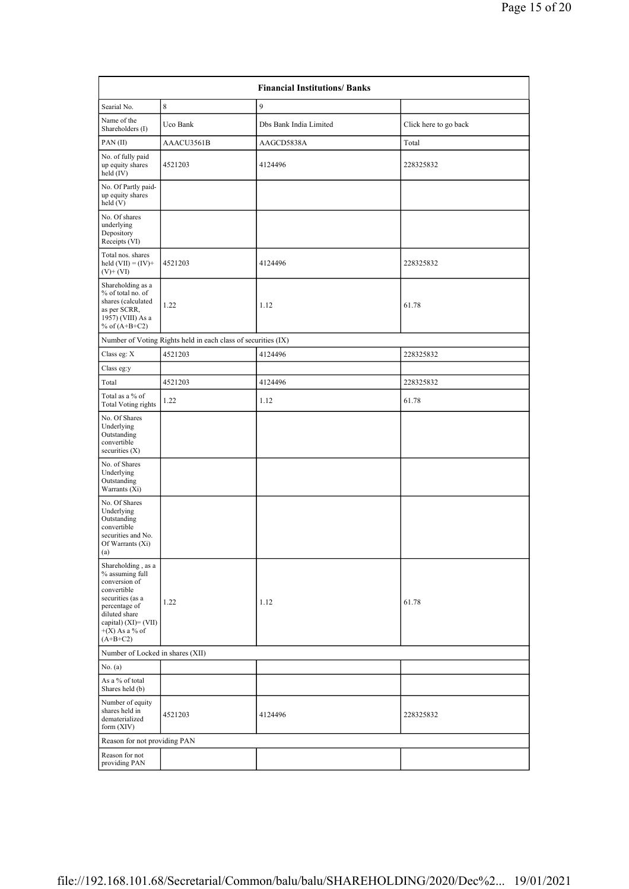| <b>Financial Institutions/ Banks</b>                                                                                                                                                     |                                                               |                        |                       |  |  |  |  |
|------------------------------------------------------------------------------------------------------------------------------------------------------------------------------------------|---------------------------------------------------------------|------------------------|-----------------------|--|--|--|--|
| Searial No.                                                                                                                                                                              | 8                                                             | 9                      |                       |  |  |  |  |
| Name of the<br>Shareholders (I)                                                                                                                                                          | Uco Bank                                                      | Dbs Bank India Limited | Click here to go back |  |  |  |  |
| PAN(II)                                                                                                                                                                                  | AAACU3561B                                                    | AAGCD5838A             | Total                 |  |  |  |  |
| No. of fully paid<br>up equity shares<br>held $(IV)$                                                                                                                                     | 4521203                                                       | 4124496                | 228325832             |  |  |  |  |
| No. Of Partly paid-<br>up equity shares<br>held (V)                                                                                                                                      |                                                               |                        |                       |  |  |  |  |
| No. Of shares<br>underlying<br>Depository<br>Receipts (VI)                                                                                                                               |                                                               |                        |                       |  |  |  |  |
| Total nos. shares<br>held $(VII) = (IV) +$<br>$(V) + (VI)$                                                                                                                               | 4521203                                                       | 4124496                | 228325832             |  |  |  |  |
| Shareholding as a<br>% of total no. of<br>shares (calculated<br>as per SCRR,<br>1957) (VIII) As a<br>% of $(A+B+C2)$                                                                     | 1.22                                                          | 1.12                   | 61.78                 |  |  |  |  |
|                                                                                                                                                                                          | Number of Voting Rights held in each class of securities (IX) |                        |                       |  |  |  |  |
| Class eg: X                                                                                                                                                                              | 4521203                                                       | 4124496                | 228325832             |  |  |  |  |
| Class eg:y                                                                                                                                                                               |                                                               |                        |                       |  |  |  |  |
| Total                                                                                                                                                                                    | 4521203                                                       | 4124496                | 228325832             |  |  |  |  |
| Total as a % of<br><b>Total Voting rights</b>                                                                                                                                            | 1.22                                                          | 1.12                   | 61.78                 |  |  |  |  |
| No. Of Shares<br>Underlying<br>Outstanding<br>convertible<br>securities $(X)$                                                                                                            |                                                               |                        |                       |  |  |  |  |
| No. of Shares<br>Underlying<br>Outstanding<br>Warrants (Xi)                                                                                                                              |                                                               |                        |                       |  |  |  |  |
| No. Of Shares<br>Underlying<br>Outstanding<br>convertible<br>securities and No.<br>Of Warrants $(Xi)$<br>(a)                                                                             |                                                               |                        |                       |  |  |  |  |
| Shareholding, as a<br>% assuming full<br>conversion of<br>convertible<br>securities (as a<br>percentage of<br>diluted share<br>capital) $(XI) = (VII)$<br>$+(X)$ As a % of<br>$(A+B+C2)$ | 1.22                                                          | 1.12                   | 61.78                 |  |  |  |  |
| Number of Locked in shares (XII)                                                                                                                                                         |                                                               |                        |                       |  |  |  |  |
| No. $(a)$                                                                                                                                                                                |                                                               |                        |                       |  |  |  |  |
| As a % of total<br>Shares held (b)                                                                                                                                                       |                                                               |                        |                       |  |  |  |  |
| Number of equity<br>shares held in<br>dematerialized<br>form (XIV)                                                                                                                       | 4521203                                                       | 4124496                | 228325832             |  |  |  |  |
| Reason for not providing PAN                                                                                                                                                             |                                                               |                        |                       |  |  |  |  |
| Reason for not<br>providing PAN                                                                                                                                                          |                                                               |                        |                       |  |  |  |  |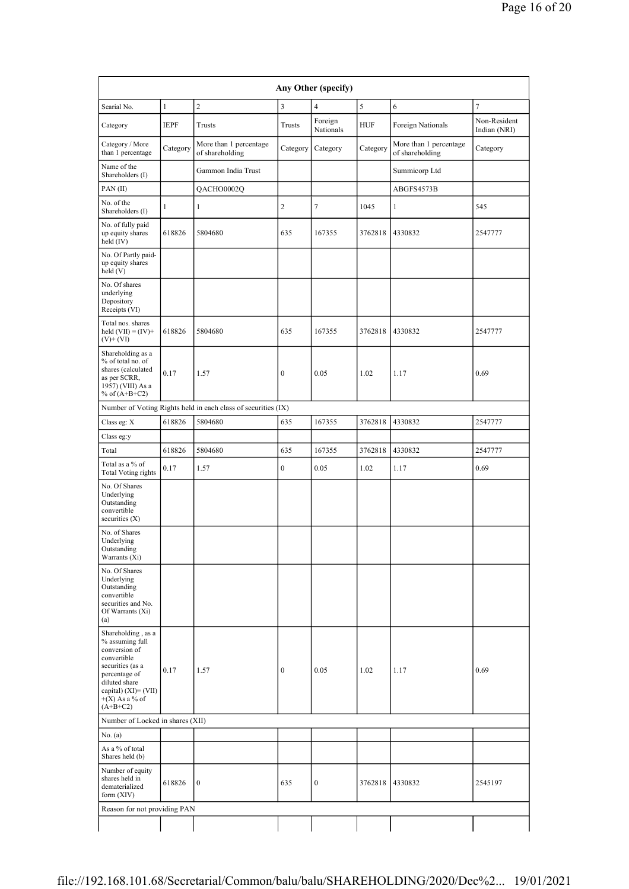| Any Other (specify)                                                                                                                                                                      |              |                                                               |                  |                      |            |                                           |                              |
|------------------------------------------------------------------------------------------------------------------------------------------------------------------------------------------|--------------|---------------------------------------------------------------|------------------|----------------------|------------|-------------------------------------------|------------------------------|
| Searial No.                                                                                                                                                                              | $\mathbf{1}$ | $\overline{c}$                                                | 3                | $\overline{4}$       | 5          | 6                                         | $\overline{7}$               |
| Category                                                                                                                                                                                 | <b>IEPF</b>  | Trusts                                                        | Trusts           | Foreign<br>Nationals | <b>HUF</b> | Foreign Nationals                         | Non-Resident<br>Indian (NRI) |
| Category / More<br>than 1 percentage                                                                                                                                                     | Category     | More than 1 percentage<br>of shareholding                     | Category         | Category             | Category   | More than 1 percentage<br>of shareholding | Category                     |
| Name of the<br>Shareholders (I)                                                                                                                                                          |              | Gammon India Trust                                            |                  |                      |            | Summicorp Ltd                             |                              |
| PAN(II)                                                                                                                                                                                  |              | QACHO0002Q                                                    |                  |                      |            | ABGFS4573B                                |                              |
| No. of the<br>Shareholders (I)                                                                                                                                                           | 1            | 1                                                             | $\overline{c}$   | 7                    | 1045       | 1                                         | 545                          |
| No. of fully paid<br>up equity shares<br>held (IV)                                                                                                                                       | 618826       | 5804680                                                       | 635              | 167355               | 3762818    | 4330832                                   | 2547777                      |
| No. Of Partly paid-<br>up equity shares<br>held (V)                                                                                                                                      |              |                                                               |                  |                      |            |                                           |                              |
| No. Of shares<br>underlying<br>Depository<br>Receipts (VI)                                                                                                                               |              |                                                               |                  |                      |            |                                           |                              |
| Total nos. shares<br>held $(VII) = (IV) +$<br>$(V)$ + $(VI)$                                                                                                                             | 618826       | 5804680                                                       | 635              | 167355               | 3762818    | 4330832                                   | 2547777                      |
| Shareholding as a<br>% of total no. of<br>shares (calculated<br>as per SCRR,<br>1957) (VIII) As a<br>% of $(A+B+C2)$                                                                     | 0.17         | 1.57                                                          | $\boldsymbol{0}$ | 0.05                 | 1.02       | 1.17                                      | 0.69                         |
|                                                                                                                                                                                          |              | Number of Voting Rights held in each class of securities (IX) |                  |                      |            |                                           |                              |
| Class eg: X                                                                                                                                                                              | 618826       | 5804680                                                       | 635              | 167355               | 3762818    | 4330832                                   | 2547777                      |
| Class eg:y                                                                                                                                                                               |              |                                                               |                  |                      |            |                                           |                              |
| Total                                                                                                                                                                                    | 618826       | 5804680                                                       | 635              | 167355               | 3762818    | 4330832                                   | 2547777                      |
| Total as a % of<br><b>Total Voting rights</b>                                                                                                                                            | 0.17         | 1.57                                                          | $\boldsymbol{0}$ | 0.05                 | 1.02       | 1.17                                      | 0.69                         |
| No. Of Shares<br>Underlying<br>Outstanding<br>convertible<br>securities $(X)$                                                                                                            |              |                                                               |                  |                      |            |                                           |                              |
| No. of Shares<br>Underlying<br>Outstanding<br>Warrants (Xi)                                                                                                                              |              |                                                               |                  |                      |            |                                           |                              |
| No. Of Shares<br>Underlying<br>Outstanding<br>convertible<br>securities and No.<br>Of Warrants (Xi)<br>(a)                                                                               |              |                                                               |                  |                      |            |                                           |                              |
| Shareholding, as a<br>% assuming full<br>conversion of<br>convertible<br>securities (as a<br>percentage of<br>diluted share<br>capital) $(XI) = (VII)$<br>$+(X)$ As a % of<br>$(A+B+C2)$ | 0.17         | 1.57                                                          | $\boldsymbol{0}$ | 0.05                 | 1.02       | 1.17                                      | 0.69                         |
| Number of Locked in shares (XII)                                                                                                                                                         |              |                                                               |                  |                      |            |                                           |                              |
| No. (a)                                                                                                                                                                                  |              |                                                               |                  |                      |            |                                           |                              |
| As a % of total<br>Shares held (b)                                                                                                                                                       |              |                                                               |                  |                      |            |                                           |                              |
| Number of equity<br>shares held in<br>dematerialized<br>form (XIV)                                                                                                                       | 618826       | $\boldsymbol{0}$                                              | 635              | $\boldsymbol{0}$     | 3762818    | 4330832                                   | 2545197                      |
| Reason for not providing PAN                                                                                                                                                             |              |                                                               |                  |                      |            |                                           |                              |
|                                                                                                                                                                                          |              |                                                               |                  |                      |            |                                           |                              |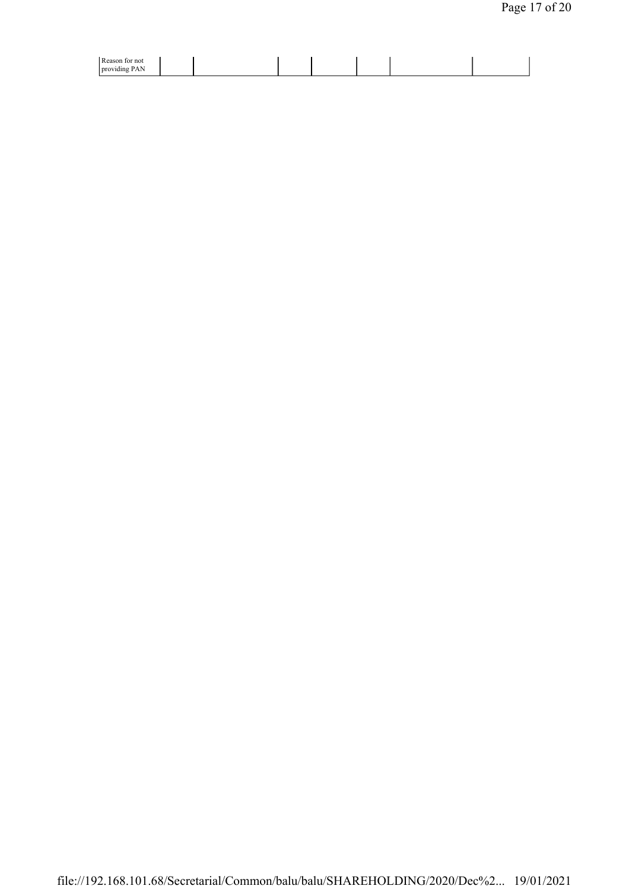| $D$ agent<br>∵not<br>ю<br>rca<br>$\overline{a}$<br><b>Droy</b><br>----<br>⊭ишт<br>T MIA |  |  |
|-----------------------------------------------------------------------------------------|--|--|
|                                                                                         |  |  |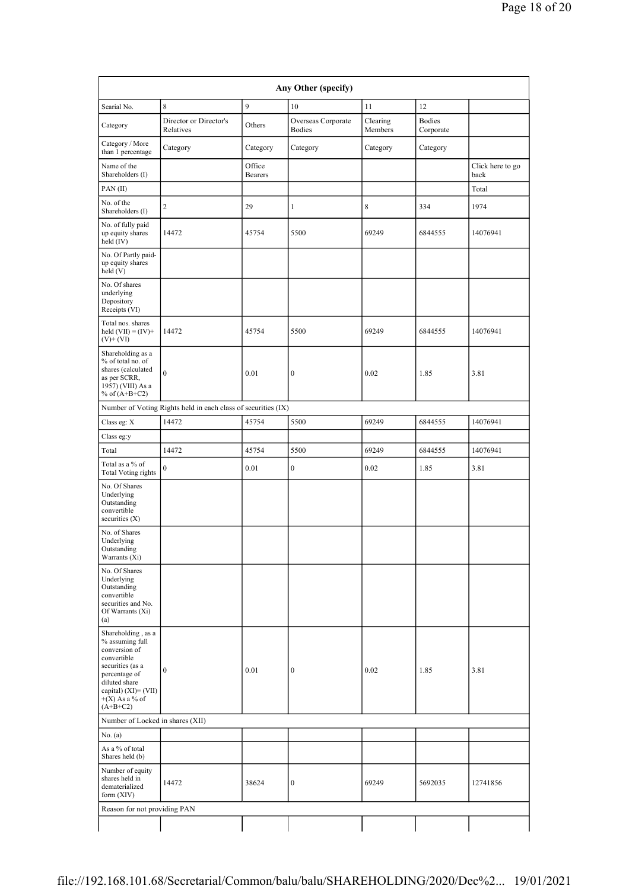| Any Other (specify)                                                                                                                                                                      |                                                               |                          |                                     |                     |                            |                          |  |
|------------------------------------------------------------------------------------------------------------------------------------------------------------------------------------------|---------------------------------------------------------------|--------------------------|-------------------------------------|---------------------|----------------------------|--------------------------|--|
| Searial No.                                                                                                                                                                              | 8                                                             | 9                        | 10                                  | 11                  | 12                         |                          |  |
| Category                                                                                                                                                                                 | Director or Director's<br>Relatives                           | Others                   | Overseas Corporate<br><b>Bodies</b> | Clearing<br>Members | <b>Bodies</b><br>Corporate |                          |  |
| Category / More<br>than 1 percentage                                                                                                                                                     | Category                                                      | Category                 | Category                            | Category            | Category                   |                          |  |
| Name of the<br>Shareholders (I)                                                                                                                                                          |                                                               | Office<br><b>Bearers</b> |                                     |                     |                            | Click here to go<br>back |  |
| PAN(II)                                                                                                                                                                                  |                                                               |                          |                                     |                     |                            | Total                    |  |
| No. of the<br>Shareholders (I)                                                                                                                                                           | 2                                                             | 29                       | 1                                   | 8                   | 334                        | 1974                     |  |
| No. of fully paid<br>up equity shares<br>held (IV)                                                                                                                                       | 14472                                                         | 45754                    | 5500                                | 69249               | 6844555                    | 14076941                 |  |
| No. Of Partly paid-<br>up equity shares<br>held(V)                                                                                                                                       |                                                               |                          |                                     |                     |                            |                          |  |
| No. Of shares<br>underlying<br>Depository<br>Receipts (VI)                                                                                                                               |                                                               |                          |                                     |                     |                            |                          |  |
| Total nos. shares<br>held $(VII) = (IV) +$<br>$(V)$ + $(VI)$                                                                                                                             | 14472                                                         | 45754                    | 5500                                | 69249               | 6844555                    | 14076941                 |  |
| Shareholding as a<br>% of total no. of<br>shares (calculated<br>as per SCRR,<br>1957) (VIII) As a<br>% of $(A+B+C2)$                                                                     | $\mathbf{0}$                                                  | 0.01                     | $\boldsymbol{0}$                    | 0.02                | 1.85                       | 3.81                     |  |
|                                                                                                                                                                                          | Number of Voting Rights held in each class of securities (IX) |                          |                                     |                     |                            |                          |  |
| Class eg: X                                                                                                                                                                              | 14472                                                         | 45754                    | 5500                                | 69249               | 6844555                    | 14076941                 |  |
| Class eg:y                                                                                                                                                                               |                                                               |                          |                                     |                     |                            |                          |  |
| Total                                                                                                                                                                                    | 14472                                                         | 45754                    | 5500                                | 69249               | 6844555                    | 14076941                 |  |
| Total as a % of<br><b>Total Voting rights</b>                                                                                                                                            | $\mathbf{0}$                                                  | 0.01                     | $\boldsymbol{0}$                    | 0.02                | 1.85                       | 3.81                     |  |
| No. Of Shares<br>Underlying<br>Outstanding<br>convertible<br>securities $(X)$                                                                                                            |                                                               |                          |                                     |                     |                            |                          |  |
| No. of Shares<br>Underlying<br>Outstanding<br>Warrants (Xi)                                                                                                                              |                                                               |                          |                                     |                     |                            |                          |  |
| No. Of Shares<br>Underlying<br>Outstanding<br>convertible<br>securities and No.<br>Of Warrants (Xi)<br>(a)                                                                               |                                                               |                          |                                     |                     |                            |                          |  |
| Shareholding, as a<br>% assuming full<br>conversion of<br>convertible<br>securities (as a<br>percentage of<br>diluted share<br>capital) $(XI) = (VII)$<br>$+(X)$ As a % of<br>$(A+B+C2)$ | $\boldsymbol{0}$                                              | 0.01                     | $\boldsymbol{0}$                    | 0.02                | 1.85                       | 3.81                     |  |
| Number of Locked in shares (XII)                                                                                                                                                         |                                                               |                          |                                     |                     |                            |                          |  |
| No. (a)                                                                                                                                                                                  |                                                               |                          |                                     |                     |                            |                          |  |
| As a % of total<br>Shares held (b)                                                                                                                                                       |                                                               |                          |                                     |                     |                            |                          |  |
| Number of equity<br>shares held in<br>dematerialized<br>form (XIV)                                                                                                                       | 14472                                                         | 38624                    | $\boldsymbol{0}$                    | 69249               | 5692035                    | 12741856                 |  |
| Reason for not providing PAN                                                                                                                                                             |                                                               |                          |                                     |                     |                            |                          |  |
|                                                                                                                                                                                          |                                                               |                          |                                     |                     |                            |                          |  |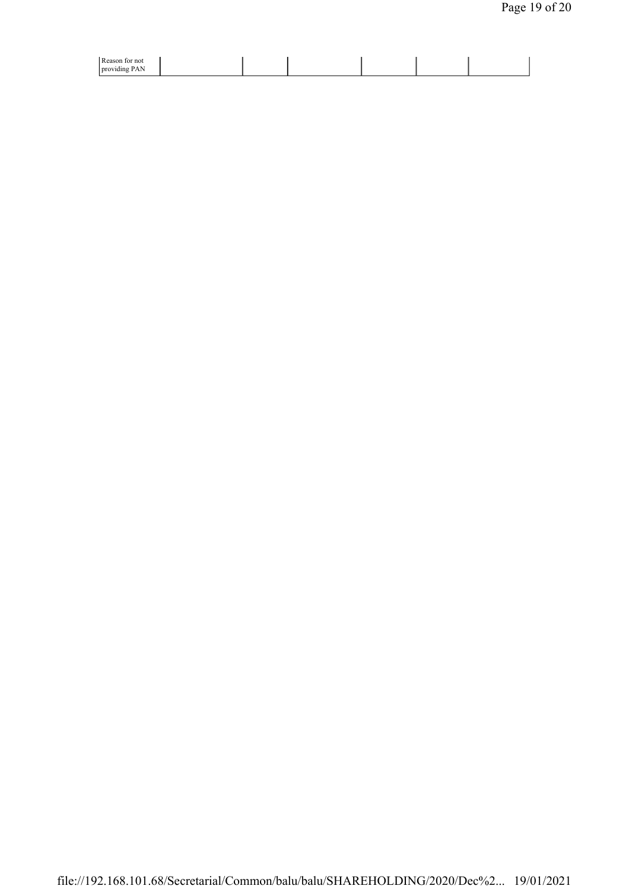| Reason for not<br>.<br>: PAN<br>providing |  |  |  |
|-------------------------------------------|--|--|--|
|                                           |  |  |  |